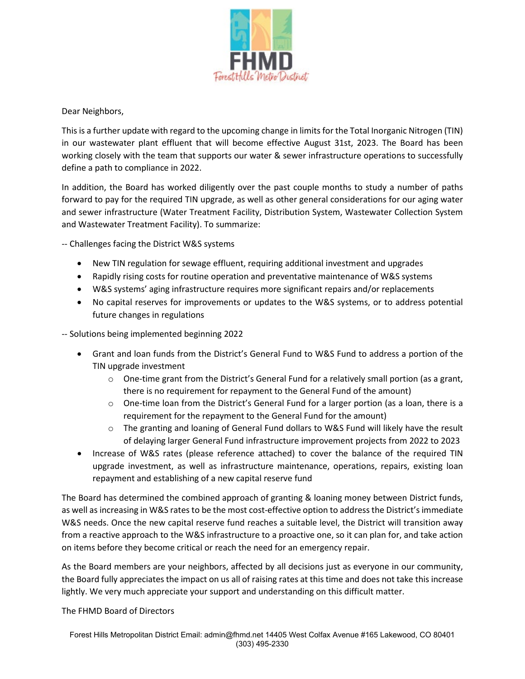

Dear Neighbors,

This is a further update with regard to the upcoming change in limits for the Total Inorganic Nitrogen (TIN) in our wastewater plant effluent that will become effective August 31st, 2023. The Board has been working closely with the team that supports our water & sewer infrastructure operations to successfully define a path to compliance in 2022.

In addition, the Board has worked diligently over the past couple months to study a number of paths forward to pay for the required TIN upgrade, as well as other general considerations for our aging water and sewer infrastructure (Water Treatment Facility, Distribution System, Wastewater Collection System and Wastewater Treatment Facility). To summarize:

-- Challenges facing the District W&S systems

- New TIN regulation for sewage effluent, requiring additional investment and upgrades
- Rapidly rising costs for routine operation and preventative maintenance of W&S systems
- W&S systems' aging infrastructure requires more significant repairs and/or replacements
- No capital reserves for improvements or updates to the W&S systems, or to address potential future changes in regulations

-- Solutions being implemented beginning 2022

- Grant and loan funds from the District's General Fund to W&S Fund to address a portion of the TIN upgrade investment
	- $\circ$  One-time grant from the District's General Fund for a relatively small portion (as a grant, there is no requirement for repayment to the General Fund of the amount)
	- $\circ$  One-time loan from the District's General Fund for a larger portion (as a loan, there is a requirement for the repayment to the General Fund for the amount)
	- o The granting and loaning of General Fund dollars to W&S Fund will likely have the result of delaying larger General Fund infrastructure improvement projects from 2022 to 2023
- Increase of W&S rates (please reference attached) to cover the balance of the required TIN upgrade investment, as well as infrastructure maintenance, operations, repairs, existing loan repayment and establishing of a new capital reserve fund

The Board has determined the combined approach of granting & loaning money between District funds, as well as increasing in W&S rates to be the most cost-effective option to address the District's immediate W&S needs. Once the new capital reserve fund reaches a suitable level, the District will transition away from a reactive approach to the W&S infrastructure to a proactive one, so it can plan for, and take action on items before they become critical or reach the need for an emergency repair.

As the Board members are your neighbors, affected by all decisions just as everyone in our community, the Board fully appreciates the impact on us all of raising rates at this time and does not take this increase lightly. We very much appreciate your support and understanding on this difficult matter.

The FHMD Board of Directors